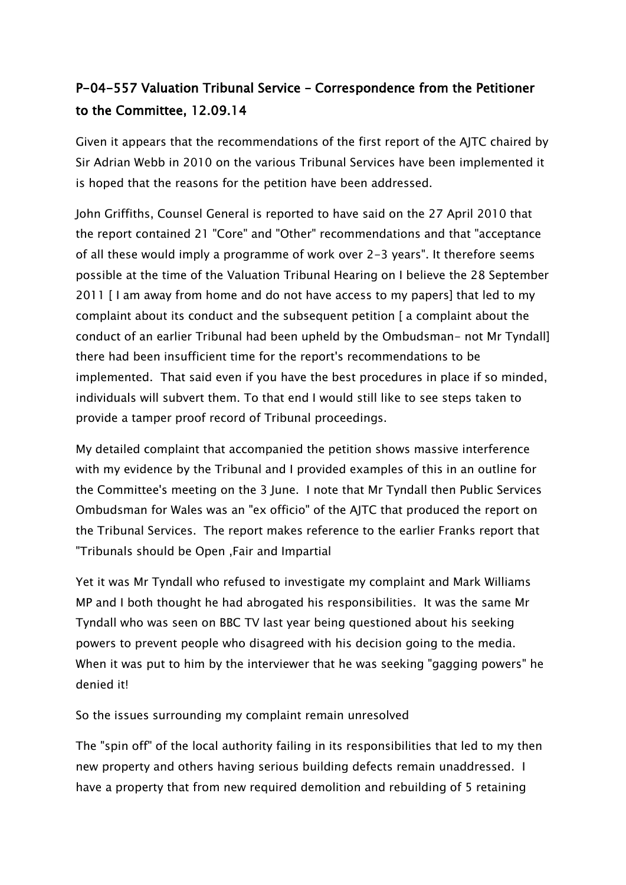## P-04-557 Valuation Tribunal Service – Correspondence from the Petitioner to the Committee, 12.09.14

Given it appears that the recommendations of the first report of the AJTC chaired by Sir Adrian Webb in 2010 on the various Tribunal Services have been implemented it is hoped that the reasons for the petition have been addressed.

John Griffiths, Counsel General is reported to have said on the 27 April 2010 that the report contained 21 "Core" and "Other" recommendations and that "acceptance of all these would imply a programme of work over 2-3 years". It therefore seems possible at the time of the Valuation Tribunal Hearing on I believe the 28 September 2011 [ I am away from home and do not have access to my papers] that led to my complaint about its conduct and the subsequent petition [ a complaint about the conduct of an earlier Tribunal had been upheld by the Ombudsman- not Mr Tyndall] there had been insufficient time for the report's recommendations to be implemented. That said even if you have the best procedures in place if so minded, individuals will subvert them. To that end I would still like to see steps taken to provide a tamper proof record of Tribunal proceedings.

My detailed complaint that accompanied the petition shows massive interference with my evidence by the Tribunal and I provided examples of this in an outline for the Committee's meeting on the 3 June. I note that Mr Tyndall then Public Services Ombudsman for Wales was an "ex officio" of the AJTC that produced the report on the Tribunal Services. The report makes reference to the earlier Franks report that "Tribunals should be Open ,Fair and Impartial

Yet it was Mr Tyndall who refused to investigate my complaint and Mark Williams MP and I both thought he had abrogated his responsibilities. It was the same Mr Tyndall who was seen on BBC TV last year being questioned about his seeking powers to prevent people who disagreed with his decision going to the media. When it was put to him by the interviewer that he was seeking "gagging powers" he denied it!

So the issues surrounding my complaint remain unresolved

The "spin off" of the local authority failing in its responsibilities that led to my then new property and others having serious building defects remain unaddressed. I have a property that from new required demolition and rebuilding of 5 retaining